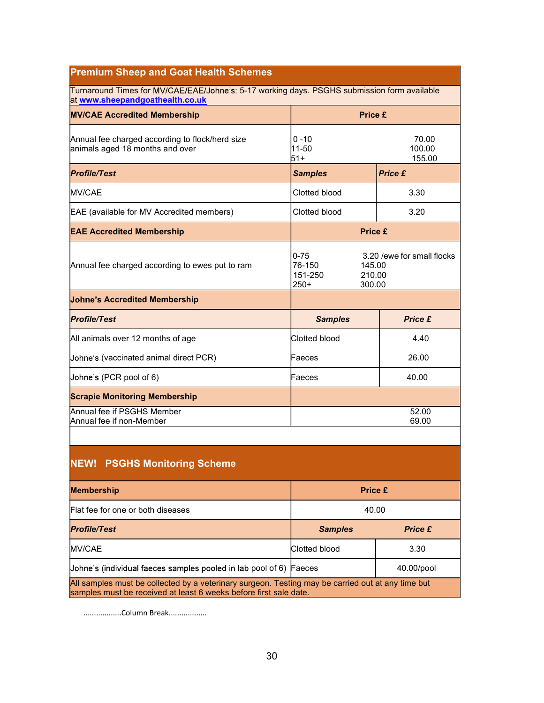## Premium Sheep and Goat Health Schemes

Turnaround Times for MV/CAE/EAE/Johne's: 5-17 working days. PSGHS submission form available at www.sheepandgoathealth.co.uk

| <b>MV/CAE Accredited Membership</b>                                                |                                         | <b>Price £</b>                                           |  |
|------------------------------------------------------------------------------------|-----------------------------------------|----------------------------------------------------------|--|
| Annual fee charged according to flock/herd size<br>animals aged 18 months and over | $0 - 10$<br>11-50<br>51+                | 70.00<br>100.00<br>155.00                                |  |
| <b>Profile/Test</b>                                                                | <b>Samples</b>                          | <b>Price £</b>                                           |  |
| <b>MV/CAE</b>                                                                      | Clotted blood                           | 3.30                                                     |  |
| EAE (available for MV Accredited members)                                          | Clotted blood                           | 3.20                                                     |  |
| <b>EAE Accredited Membership</b>                                                   |                                         | <b>Price £</b>                                           |  |
| Annual fee charged according to ewes put to ram                                    | $0 - 75$<br>76-150<br>151-250<br>$250+$ | 3.20 /ewe for small flocks<br>145.00<br>210.00<br>300.00 |  |
| <b>Johne's Accredited Membership</b>                                               |                                         |                                                          |  |
| <b>Profile/Test</b>                                                                | <b>Samples</b>                          | <b>Price £</b>                                           |  |
| All animals over 12 months of age                                                  | Clotted blood                           | 4.40                                                     |  |
| Johne's (vaccinated animal direct PCR)                                             | Faeces                                  | 26.00                                                    |  |
| Johne's (PCR pool of 6)                                                            | Faeces                                  | 40.00                                                    |  |
| <b>Scrapie Monitoring Membership</b>                                               |                                         |                                                          |  |
| Annual fee if PSGHS Member<br>Annual fee if non-Member                             |                                         | 52.00<br>69.00                                           |  |

## NEW! PSGHS Monitoring Scheme

| <b>Membership</b>                                                                                                                                                      | Price £        |                |
|------------------------------------------------------------------------------------------------------------------------------------------------------------------------|----------------|----------------|
| Flat fee for one or both diseases                                                                                                                                      | 40.00          |                |
| <b>Profile/Test</b>                                                                                                                                                    | <b>Samples</b> | <b>Price £</b> |
| <b>MV/CAE</b>                                                                                                                                                          | Clotted blood  | 3.30           |
| Uohne's (individual faeces samples pooled in lab pool of 6) Faeces                                                                                                     |                | 40.00/pool     |
| All samples must be collected by a veterinary surgeon. Testing may be carried out at any time but<br>samples must be received at least 6 weeks before first sale date. |                |                |

..................Column Break..................